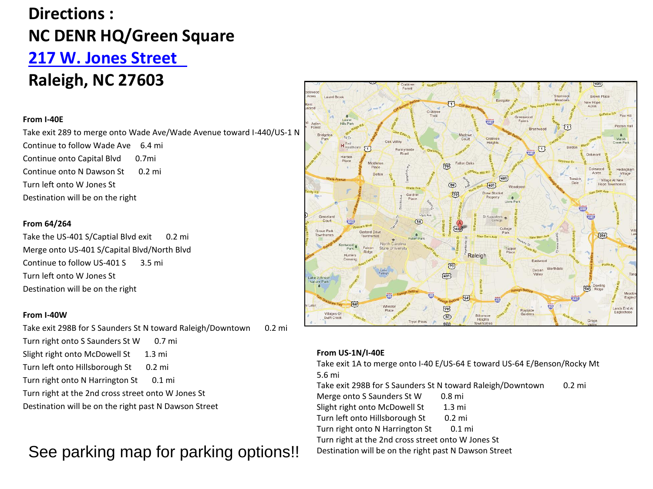# **Directions : NC DENR HQ/Green Square [217 W. Jones Street](http://www.bing.com/maps/?FORM=Z9LH4#JnE9LjIxNyUyYndlc3QlMmJqb25lcyUyYnN0cmVldCUyNTJjJTJicmFsZWlnaCUyNTJjJTJibmMlMmIyNzYwMyU3ZXNzdC4wJTdlcGcuMSZiYj01MC41MDY2MzkyNDc0MzA4JTdlLTM0Ljk2MzU0Njc1MiU3ZTE3LjgwMTI5NDU4Njg0MyU3ZS0xMjIuMzI2ODI4MDAy)  Raleigh, NC 27603**

## **From I-40E**

Take exit 289 to merge onto Wade Ave/Wade Avenue toward I-440/US-1 N Continue to follow Wade Ave 6.4 mi Continue onto Capital Blvd 0.7mi Continue onto N Dawson St 0.2 mi Turn left onto W Jones St Destination will be on the right

# **From 64/264**

Take the US-401 S/Captial Blvd exit 0.2 mi Merge onto US-401 S/Capital Blvd/North Blvd Continue to follow US-401 S 3.5 mi Turn left onto W Jones St Destination will be on the right

#### **From I-40W**

Take exit 298B for S Saunders St N toward Raleigh/Downtown 0.2 mi Turn right onto S Saunders St W 0.7 mi Slight right onto McDowell St 1.3 mi Turn left onto Hillsborough St 0.2 mi Turn right onto N Harrington St 0.1 mi Turn right at the 2nd cross street onto W Jones St Destination will be on the right past N Dawson Street

See parking map for parking options!! Destination will be on the right past N Dawson Street



## **From US-1N/I-40E**

Take exit 1A to merge onto I-40 E/US-64 E toward US-64 E/Benson/Rocky Mt 5.6 mi

Take exit 298B for S Saunders St N toward Raleigh/Downtown 0.2 mi Merge onto S Saunders St W 0.8 mi

Slight right onto McDowell St 1.3 mi Turn left onto Hillsborough St 0.2 mi Turn right onto N Harrington St 0.1 mi Turn right at the 2nd cross street onto W Jones St